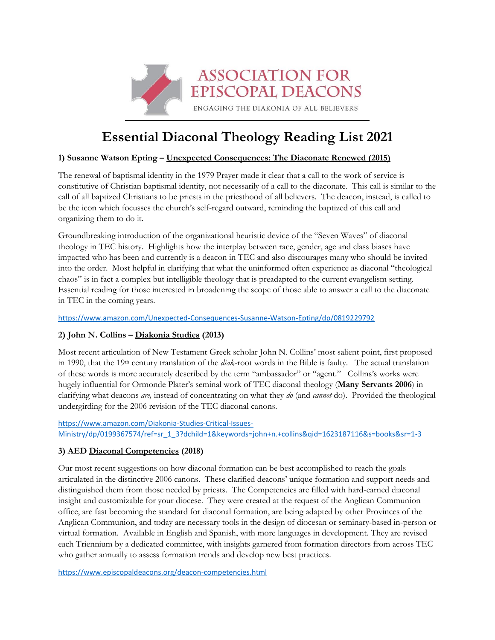

# **Essential Diaconal Theology Reading List 2021**

## **1) Susanne Watson Epting – Unexpected Consequences: The Diaconate Renewed (2015)**

The renewal of baptismal identity in the 1979 Prayer made it clear that a call to the work of service is constitutive of Christian baptismal identity, not necessarily of a call to the diaconate. This call is similar to the call of all baptized Christians to be priests in the priesthood of all believers. The deacon, instead, is called to be the icon which focusses the church's self-regard outward, reminding the baptized of this call and organizing them to do it.

Groundbreaking introduction of the organizational heuristic device of the "Seven Waves" of diaconal theology in TEC history. Highlights how the interplay between race, gender, age and class biases have impacted who has been and currently is a deacon in TEC and also discourages many who should be invited into the order. Most helpful in clarifying that what the uninformed often experience as diaconal "theological chaos" is in fact a complex but intelligible theology that is preadapted to the current evangelism setting. Essential reading for those interested in broadening the scope of those able to answer a call to the diaconate in TEC in the coming years.

<https://www.amazon.com/Unexpected-Consequences-Susanne-Watson-Epting/dp/0819229792>

## **2) John N. Collins – Diakonia Studies (2013)**

Most recent articulation of New Testament Greek scholar John N. Collins' most salient point, first proposed in 1990, that the 19th century translation of the *diak*-root words in the Bible is faulty. The actual translation of these words is more accurately described by the term "ambassador" or "agent." Collins's works were hugely influential for Ormonde Plater's seminal work of TEC diaconal theology (**Many Servants 2006**) in clarifying what deacons *are,* instead of concentrating on what they *do* (and *cannot* do). Provided the theological undergirding for the 2006 revision of the TEC diaconal canons.

[https://www.amazon.com/Diakonia-Studies-Critical-Issues-](https://www.amazon.com/Diakonia-Studies-Critical-Issues-Ministry/dp/0199367574/ref=sr_1_3?dchild=1&keywords=john+n.+collins&qid=1623187116&s=books&sr=1-3)[Ministry/dp/0199367574/ref=sr\\_1\\_3?dchild=1&keywords=john+n.+collins&qid=1623187116&s=books&sr=1-3](https://www.amazon.com/Diakonia-Studies-Critical-Issues-Ministry/dp/0199367574/ref=sr_1_3?dchild=1&keywords=john+n.+collins&qid=1623187116&s=books&sr=1-3)

## **3) AED Diaconal Competencies (2018)**

Our most recent suggestions on how diaconal formation can be best accomplished to reach the goals articulated in the distinctive 2006 canons. These clarified deacons' unique formation and support needs and distinguished them from those needed by priests. The Competencies are filled with hard-earned diaconal insight and customizable for your diocese. They were created at the request of the Anglican Communion office, are fast becoming the standard for diaconal formation, are being adapted by other Provinces of the Anglican Communion, and today are necessary tools in the design of diocesan or seminary-based in-person or virtual formation. Available in English and Spanish, with more languages in development. They are revised each Triennium by a dedicated committee, with insights garnered from formation directors from across TEC who gather annually to assess formation trends and develop new best practices.

<https://www.episcopaldeacons.org/deacon-competencies.html>